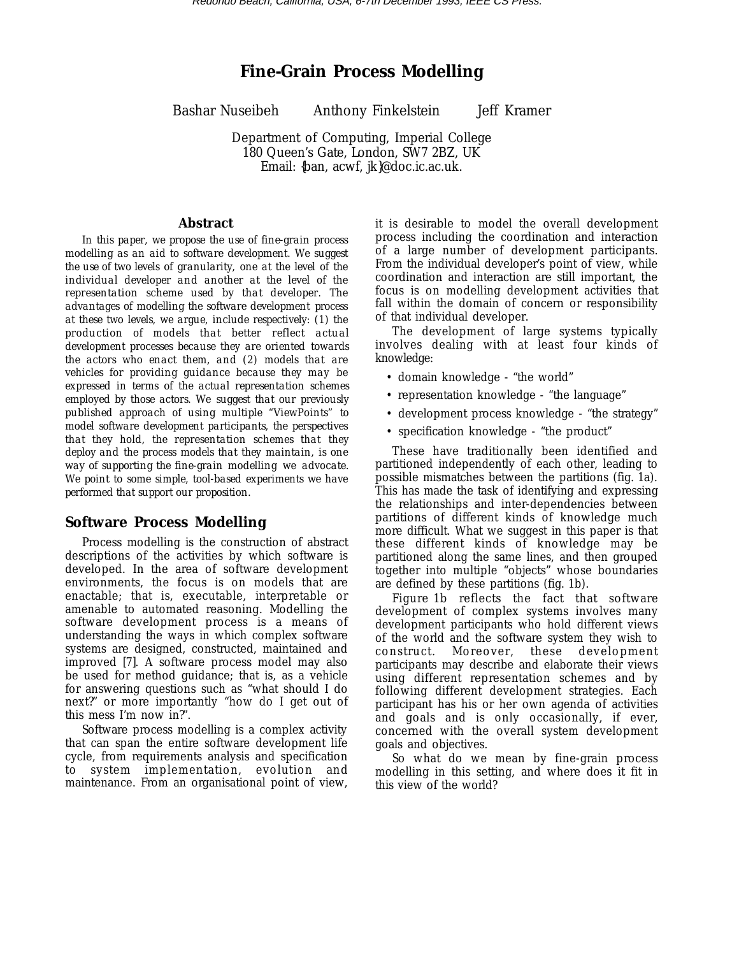# **Fine-Grain Process Modelling**

Bashar Nuseibeh Anthony Finkelstein Jeff Kramer

Department of Computing, Imperial College 180 Queen's Gate, London, SW7 2BZ, UK Email: {ban, acwf, jk}@doc.ic.ac.uk.

#### **Abstract**

*In this paper, we propose the use of fine-grain process modelling as an aid to software development. We suggest the use of two levels of granularity, one at the level of the individual developer and another at the level of the representation scheme used by that developer. The advantages of modelling the software development process at these two levels, we argue, include respectively: (1) the production of models that better reflect actual development processes because they are oriented towards the actors who enact them, and (2) models that are vehicles for providing guidance because they may be expressed in terms of the actual representation schemes employed by those actors. We suggest that our previously published approach of using multiple "ViewPoints" to model software development participants, the perspectives that they hold, the representation schemes that they deploy and the process models that they maintain, is one way of supporting the fine-grain modelling we advocate. We point to some simple, tool-based experiments we have performed that support our proposition.*

# **Software Process Modelling**

Process modelling is the construction of abstract descriptions of the activities by which software is developed. In the area of software development environments, the focus is on models that are enactable; that is, executable, interpretable or amenable to automated reasoning. Modelling the software development process is a means of understanding the ways in which complex software systems are designed, constructed, maintained and improved [7]. A software process model may also be used for method guidance; that is, as a vehicle for answering questions such as "what should I do next?" or more importantly "how do I get out of this mess I'm now in?".

Software process modelling is a complex activity that can span the entire software development life cycle, from requirements analysis and specification to system implementation, evolution and maintenance. From an organisational point of view, it is desirable to model the overall development process including the coordination and interaction of a large number of development participants. From the individual developer's point of view, while coordination and interaction are still important, the focus is on modelling development activities that fall within the domain of concern or responsibility of that individual developer.

The development of large systems typically involves dealing with at least four kinds of knowledge:

- domain knowledge "the world"
- representation knowledge "the language"
- development process knowledge "the strategy"
- specification knowledge "the product"

These have traditionally been identified and partitioned independently of each other, leading to possible mismatches between the partitions (fig. 1a). This has made the task of identifying and expressing the relationships and inter-dependencies between partitions of different kinds of knowledge much more difficult. What we suggest in this paper is that these different kinds of knowledge may be partitioned along the same lines, and then grouped together into multiple "objects" whose boundaries are defined by these partitions (fig. 1b).

Figure 1b reflects the fact that software development of complex systems involves many development participants who hold different views of the world and the software system they wish to construct. Moreover, these development participants may describe and elaborate their views using different representation schemes and by following different development strategies. Each participant has his or her own agenda of activities and goals and is only occasionally, if ever, concerned with the overall system development goals and objectives.

So what do we mean by fine-grain process modelling in this setting, and where does it fit in this view of the world?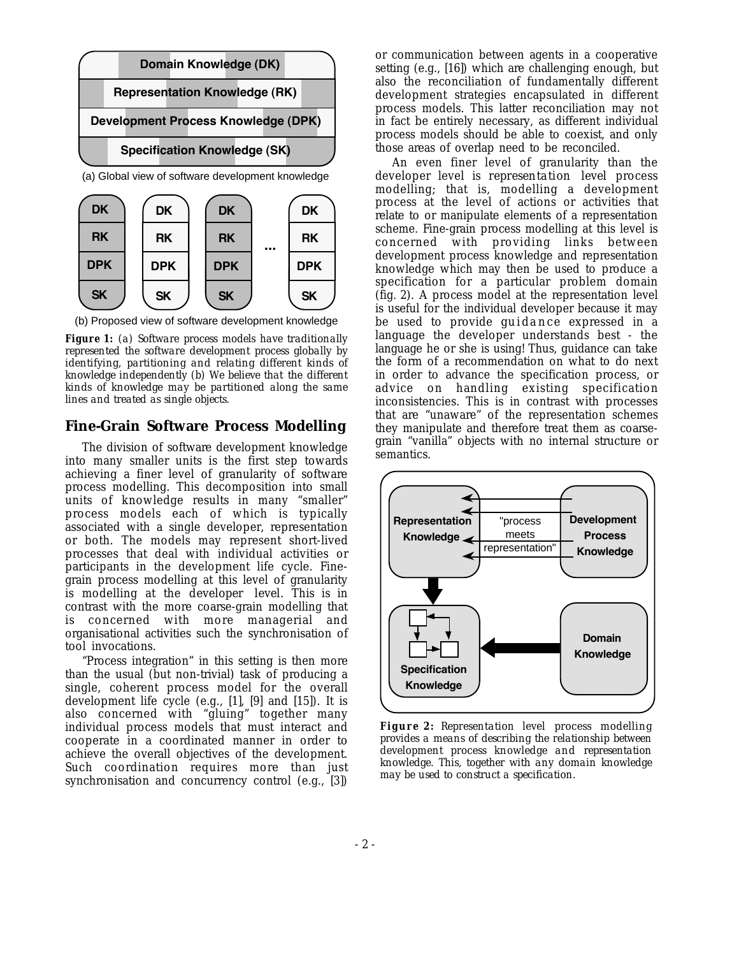

(a) Global view of software development knowledge



(b) Proposed view of software development knowledge

*Figure 1: (a) Software process models have traditionally represented the software development process globally by identifying, partitioning and relating different kinds of knowledge independently (b) We believe that the different kinds of knowledge may be partitioned along the same lines and treated as single objects.*

#### **Fine-Grain Software Process Modelling**

The division of software development knowledge into many smaller units is the first step towards achieving a finer level of granularity of software process modelling. This decomposition into small units of knowledge results in many "smaller" process models each of which is typically associated with a single developer, representation or both. The models may represent short-lived processes that deal with individual activities or participants in the development life cycle. Finegrain process modelling at this level of granularity is modelling at the *developer level.* This is in contrast with the more coarse-grain modelling that is concerned with more managerial and organisational activities such the synchronisation of tool invocations.

"Process integration" in this setting is then more than the usual (but non-trivial) task of producing a single, coherent process model for the overall development life cycle (e.g., [1], [9] and [15]). It is also concerned with "gluing" together many individual process models that must interact and cooperate in a coordinated manner in order to achieve the overall objectives of the development. Such coordination requires more than just synchronisation and concurrency control (e.g., [3])

or communication between agents in a cooperative setting (e.g., [16]) which are challenging enough, but also the reconciliation of fundamentally different development strategies encapsulated in different process models. This latter reconciliation may not in fact be entirely necessary, as different individual process models should be able to coexist, and only those areas of overlap need to be reconciled.

An even finer level of granularity than the developer level is *representation level* process modelling; that is, modelling a development process at the level of actions or activities that relate to or manipulate elements of a representation scheme. Fine-grain process modelling at this level is concerned with providing links between development process knowledge and representation knowledge which may then be used to produce a specification for a particular problem domain (fig. 2). A process model at the representation level is useful for the individual developer because it may be used to provide *guidance* expressed in a language the developer understands best - the language he or she is using! Thus, guidance can take the form of a recommendation on what to do next in order to advance the specification process, or advice on handling existing specification inconsistencies. This is in contrast with processes that are "unaware" of the representation schemes they manipulate and therefore treat them as coarsegrain "vanilla" objects with no internal structure or semantics.



*Figure 2: Representation level process modelling provides a means of describing the relationship between development process knowledge and representation knowledge. This, together with any domain knowledge may be used to construct a specification.*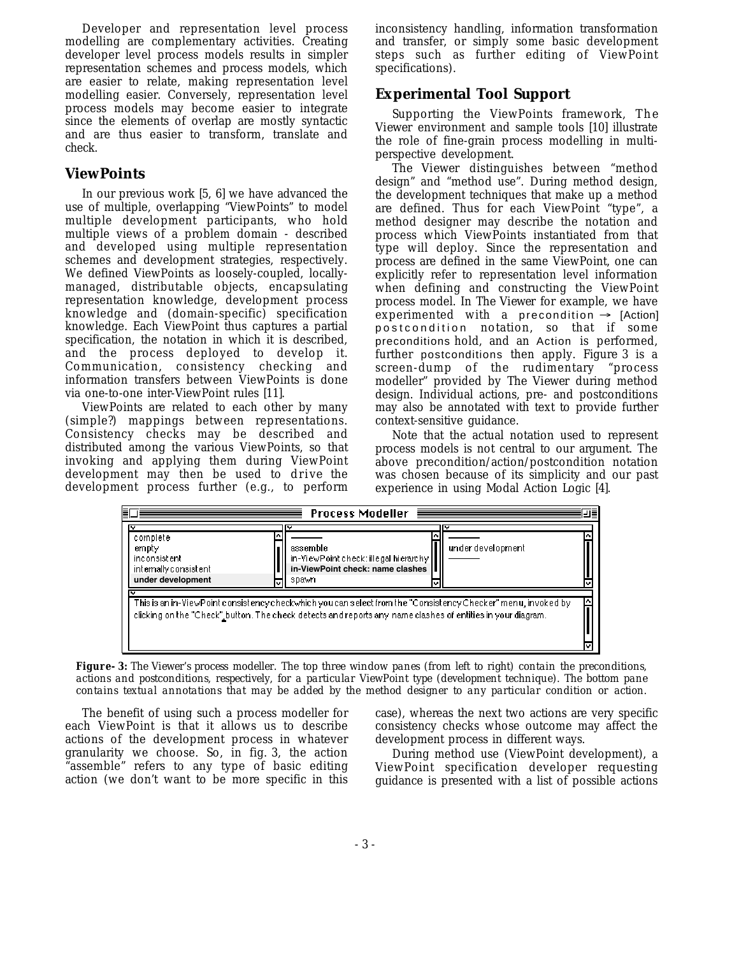Developer and representation level process modelling are complementary activities. Creating developer level process models results in simpler representation schemes and process models, which are easier to relate, making representation level modelling easier. Conversely, representation level process models may become easier to integrate since the elements of overlap are mostly syntactic and are thus easier to transform, translate and check.

## **ViewPoints**

In our previous work [5, 6] we have advanced the use of multiple, overlapping "ViewPoints" to model multiple development participants, who hold multiple views of a problem domain - described and developed using multiple representation schemes and development strategies, respectively. We defined ViewPoints as loosely-coupled, locallymanaged, distributable objects, encapsulating representation knowledge, development process knowledge and (domain-specific) specification knowledge. Each ViewPoint thus captures a partial specification, the notation in which it is described, and the process deployed to develop it. Communication, consistency checking and information transfers between ViewPoints is done via one-to-one inter-ViewPoint rules [11].

ViewPoints are related to each other by many (simple?) mappings between representations. Consistency checks may be described and distributed among the various ViewPoints, so that invoking and applying them during ViewPoint development may then be used to *drive* the development process further (e.g., to perform inconsistency handling, information transformation and transfer, or simply some basic development steps such as further editing of ViewPoint specifications).

## **Experimental Tool Support**

Supporting the ViewPoints framework, *The Viewer* environment and sample tools [10] illustrate the role of fine-grain process modelling in multiperspective development.

*The Viewer* distinguishes between "method design" and "method use". During method design, the development techniques that make up a method are defined. Thus for each ViewPoint "type", a method designer may describe the notation and process which ViewPoints instantiated from that type will deploy. Since the representation and process are defined in the same ViewPoint, one can explicitly refer to representation level information when defining and constructing the ViewPoint process model. In *The Viewer* for example, we have experimented with a precondition  $\rightarrow$  [Action] postcondition notation, so that if some preconditions hold, and an Action is performed, further postconditions then apply. Figure 3 is a screen-dump of the rudimentary "process modeller" provided by *The Viewer* during method design. Individual actions, pre- and postconditions may also be annotated with text to provide further context-sensitive guidance.

Note that the actual notation used to represent process models is not central to our argument. The above precondition/action/postcondition notation was chosen because of its simplicity and our past experience in using Modal Action Logic [4].



*Figure- 3: The Viewer's process modeller. The top three window panes (from left to right) contain the preconditions, actions and postconditions, respectively, for a particular ViewPoint type (development technique). The bottom pane contains textual annotations that may be added by the method designer to any particular condition or action.*

The benefit of using such a process modeller for each ViewPoint is that it allows us to describe actions of the development process in whatever granularity we choose. So, in fig. 3, the action "assemble" refers to any type of basic editing action (we don't want to be more specific in this case), whereas the next two actions are very specific consistency checks whose outcome may affect the development process in different ways.

During method use (ViewPoint development), a ViewPoint specification developer requesting guidance is presented with a list of possible actions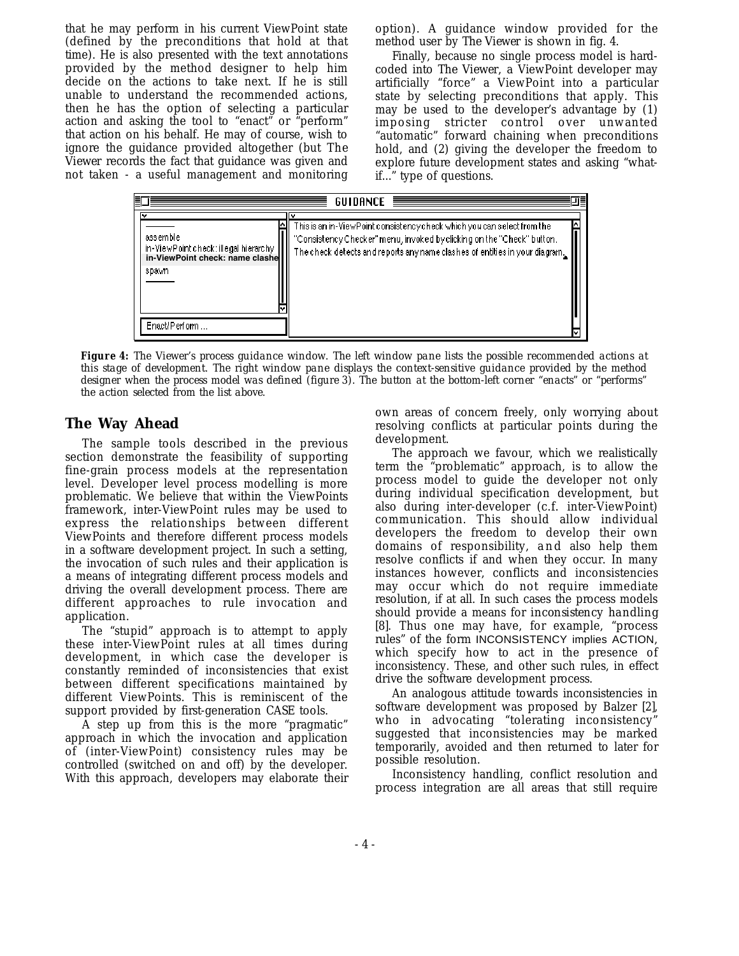that he may perform in his current ViewPoint state (defined by the preconditions that hold at that time). He is also presented with the text annotations provided by the method designer to help him decide on the actions to take next. If he is still unable to understand the recommended actions, then he has the option of selecting a particular action and asking the tool to "enact" or "perform" that action on his behalf. He may of course, wish to ignore the guidance provided altogether (but *The Viewer* records the fact that guidance was given and not taken - a useful management and monitoring

option). A guidance window provided for the method user by *The Viewer* is shown in fig. 4.

Finally, because no single process model is hardcoded into *The Viewer*, a ViewPoint developer may artificially "force" a ViewPoint into a particular state by selecting preconditions that apply. This may be used to the developer's advantage by (1) imposing stricter control over unwanted "automatic" forward chaining when preconditions hold, and (2) giving the developer the freedom to explore future development states and asking "whatif..." type of questions.



*Figure 4: The Viewer's process guidance window. The left window pane lists the possible recommended actions at this stage of development. The right window pane displays the context-sensitive guidance provided by the method designer when the process model was defined (figure 3). The button at the bottom-left corner "enacts" or "performs" the action selected from the list above.*

## **The Way Ahead**

The sample tools described in the previous section demonstrate the feasibility of supporting fine-grain process models at the representation level. Developer level process modelling is more problematic. We believe that within the ViewPoints framework, inter-ViewPoint rules may be used to express the relationships between different ViewPoints and therefore different process models in a software development project. In such a setting, the invocation of such rules and their application is a means of integrating different process models and driving the overall development process. There are different approaches to rule invocation and application.

The "stupid" approach is to attempt to apply these inter-ViewPoint rules at all times during development, in which case the developer is constantly reminded of inconsistencies that exist between different specifications maintained by different ViewPoints. This is reminiscent of the support provided by first-generation CASE tools.

A step up from this is the more "pragmatic" approach in which the invocation and application of (inter-ViewPoint) consistency rules may be controlled (switched on and off) by the developer. With this approach, developers may elaborate their

own areas of concern freely, only worrying about resolving conflicts at particular points during the development.

The approach we favour, which we realistically term the "problematic" approach, is to allow the process model to guide the developer not only during individual specification development, but also during inter-developer (*c.f.* inter-ViewPoint) communication. This should allow individual developers the freedom to develop their own domains of responsibility, *and* also help them resolve conflicts if and when they occur. In many instances however, conflicts and inconsistencies may occur which do not require immediate resolution, if at all. In such cases the process models should provide a means for *inconsistency handling* [8]. Thus one may have, for example, "process rules" of the form INCONSISTENCY implies ACTION, which specify how to act in the presence of inconsistency. These, and other such rules, in effect *drive* the software development process.

An analogous attitude towards inconsistencies in software development was proposed by Balzer [2], who in advocating "tolerating inconsistency" suggested that inconsistencies may be marked temporarily, avoided and then returned to later for possible resolution.

Inconsistency handling, conflict resolution and process integration are all areas that still require